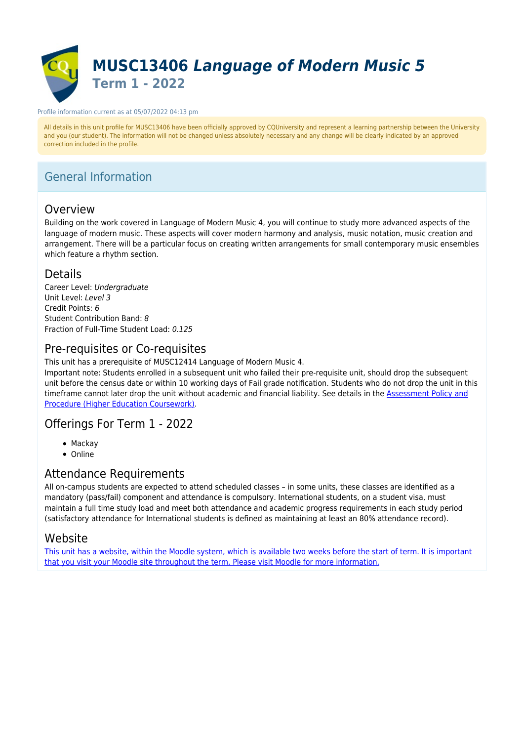

#### Profile information current as at 05/07/2022 04:13 pm

All details in this unit profile for MUSC13406 have been officially approved by CQUniversity and represent a learning partnership between the University and you (our student). The information will not be changed unless absolutely necessary and any change will be clearly indicated by an approved correction included in the profile.

# General Information

## **Overview**

Building on the work covered in Language of Modern Music 4, you will continue to study more advanced aspects of the language of modern music. These aspects will cover modern harmony and analysis, music notation, music creation and arrangement. There will be a particular focus on creating written arrangements for small contemporary music ensembles which feature a rhythm section.

## Details

Career Level: Undergraduate Unit Level: Level 3 Credit Points: 6 Student Contribution Band: 8 Fraction of Full-Time Student Load: 0.125

# Pre-requisites or Co-requisites

This unit has a prerequisite of MUSC12414 Language of Modern Music 4.

Important note: Students enrolled in a subsequent unit who failed their pre-requisite unit, should drop the subsequent unit before the census date or within 10 working days of Fail grade notification. Students who do not drop the unit in this timeframe cannot later drop the unit without academic and financial liability. See details in the **Assessment Policy and** [Procedure \(Higher Education Coursework\)](https://www.cqu.edu.au/policy).

## Offerings For Term 1 - 2022

- Mackay
- Online

## Attendance Requirements

All on-campus students are expected to attend scheduled classes – in some units, these classes are identified as a mandatory (pass/fail) component and attendance is compulsory. International students, on a student visa, must maintain a full time study load and meet both attendance and academic progress requirements in each study period (satisfactory attendance for International students is defined as maintaining at least an 80% attendance record).

## Website

[This unit has a website, within the Moodle system, which is available two weeks before the start of term. It is important](https://moodle.cqu.edu.au) [that you visit your Moodle site throughout the term. Please visit Moodle for more information.](https://moodle.cqu.edu.au)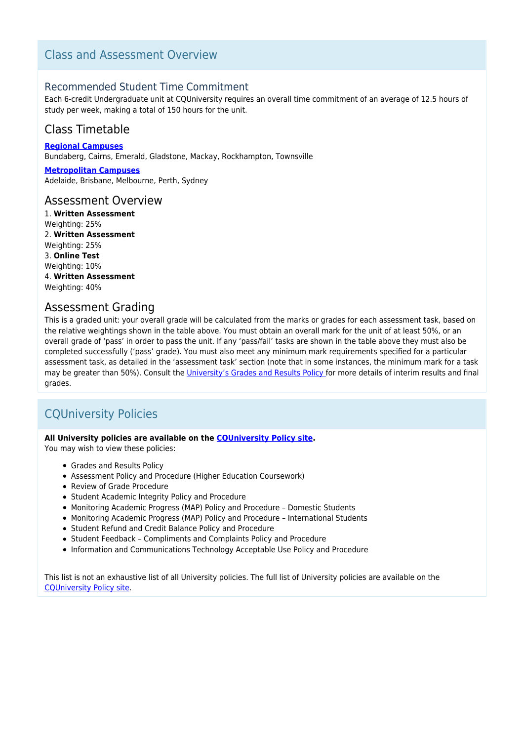# Class and Assessment Overview

## Recommended Student Time Commitment

Each 6-credit Undergraduate unit at CQUniversity requires an overall time commitment of an average of 12.5 hours of study per week, making a total of 150 hours for the unit.

## Class Timetable

**[Regional Campuses](https://handbook.cqu.edu.au/facet/timetables)** Bundaberg, Cairns, Emerald, Gladstone, Mackay, Rockhampton, Townsville

**[Metropolitan Campuses](https://handbook.cqu.edu.au/facet/timetables)** Adelaide, Brisbane, Melbourne, Perth, Sydney

## Assessment Overview

1. **Written Assessment** Weighting: 25% 2. **Written Assessment** Weighting: 25% 3. **Online Test** Weighting: 10% 4. **Written Assessment** Weighting: 40%

## Assessment Grading

This is a graded unit: your overall grade will be calculated from the marks or grades for each assessment task, based on the relative weightings shown in the table above. You must obtain an overall mark for the unit of at least 50%, or an overall grade of 'pass' in order to pass the unit. If any 'pass/fail' tasks are shown in the table above they must also be completed successfully ('pass' grade). You must also meet any minimum mark requirements specified for a particular assessment task, as detailed in the 'assessment task' section (note that in some instances, the minimum mark for a task may be greater than 50%). Consult the [University's Grades and Results Policy](https://www.cqu.edu.au/policy) for more details of interim results and final grades.

# CQUniversity Policies

## **All University policies are available on the [CQUniversity Policy site.](https://policy.cqu.edu.au/)**

You may wish to view these policies:

- Grades and Results Policy
- Assessment Policy and Procedure (Higher Education Coursework)
- Review of Grade Procedure
- Student Academic Integrity Policy and Procedure
- Monitoring Academic Progress (MAP) Policy and Procedure Domestic Students
- Monitoring Academic Progress (MAP) Policy and Procedure International Students
- Student Refund and Credit Balance Policy and Procedure
- Student Feedback Compliments and Complaints Policy and Procedure
- Information and Communications Technology Acceptable Use Policy and Procedure

This list is not an exhaustive list of all University policies. The full list of University policies are available on the [CQUniversity Policy site.](https://policy.cqu.edu.au/)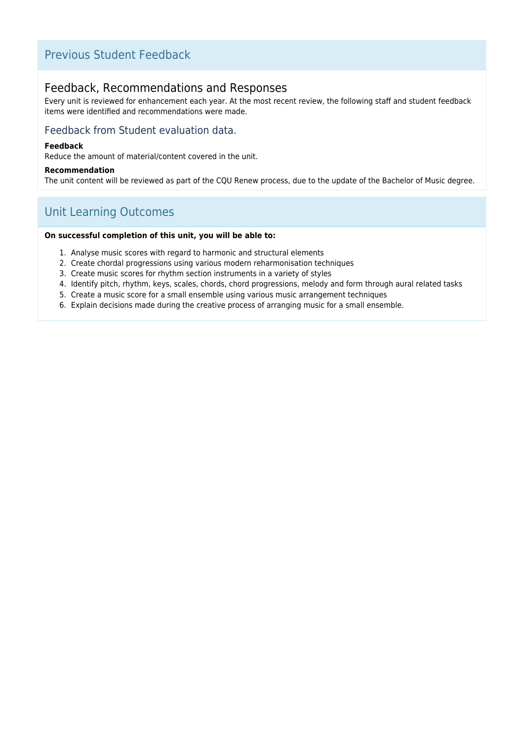# Previous Student Feedback

# Feedback, Recommendations and Responses

Every unit is reviewed for enhancement each year. At the most recent review, the following staff and student feedback items were identified and recommendations were made.

## Feedback from Student evaluation data.

#### **Feedback**

Reduce the amount of material/content covered in the unit.

#### **Recommendation**

The unit content will be reviewed as part of the CQU Renew process, due to the update of the Bachelor of Music degree.

# Unit Learning Outcomes

#### **On successful completion of this unit, you will be able to:**

- 1. Analyse music scores with regard to harmonic and structural elements
- 2. Create chordal progressions using various modern reharmonisation techniques
- 3. Create music scores for rhythm section instruments in a variety of styles
- 4. Identify pitch, rhythm, keys, scales, chords, chord progressions, melody and form through aural related tasks
- 5. Create a music score for a small ensemble using various music arrangement techniques
- 6. Explain decisions made during the creative process of arranging music for a small ensemble.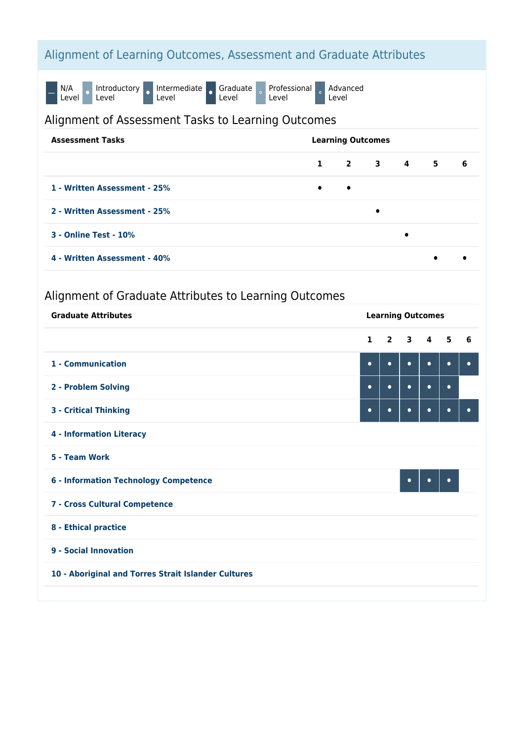# Alignment of Learning Outcomes, Assessment and Graduate Attributes

N/A<br>Level O Introductory o Intermediate o Graduate<br>Level Professional Level Advanced Level

# Alignment of Assessment Tasks to Learning Outcomes

| <b>Assessment Tasks</b>      | <b>Learning Outcomes</b> |           |   |   |             |    |
|------------------------------|--------------------------|-----------|---|---|-------------|----|
|                              |                          |           |   |   | $1$ 2 3 4 5 | -6 |
| 1 - Written Assessment - 25% | $\bullet$                | $\bullet$ |   |   |             |    |
| 2 - Written Assessment - 25% |                          |           | ٠ |   |             |    |
| <b>3 - Online Test - 10%</b> |                          |           |   | ٠ |             |    |
| 4 - Written Assessment - 40% |                          |           |   |   | $\bullet$   |    |

# Alignment of Graduate Attributes to Learning Outcomes

| <b>Graduate Attributes</b>                          |              | <b>Learning Outcomes</b> |           |                             |           |           |
|-----------------------------------------------------|--------------|--------------------------|-----------|-----------------------------|-----------|-----------|
|                                                     | $\mathbf{1}$ |                          |           | $2 \quad 3 \quad 4 \quad 5$ |           | 6         |
| 1 - Communication                                   | $\bullet$    | $\bullet$                | $\bullet$ | $\bullet$                   | $\bullet$ | $\bullet$ |
| 2 - Problem Solving                                 | $\bullet$    | $\bullet$                | $\bullet$ | $\bullet$                   | $\bullet$ |           |
| <b>3 - Critical Thinking</b>                        | $\bullet$    | $\bullet$                | $\bullet$ | $\bullet$                   | $\bullet$ | $\bullet$ |
| <b>4 - Information Literacy</b>                     |              |                          |           |                             |           |           |
| 5 - Team Work                                       |              |                          |           |                             |           |           |
| <b>6 - Information Technology Competence</b>        |              |                          | $\bullet$ | $\bullet$                   | $\bullet$ |           |
| 7 - Cross Cultural Competence                       |              |                          |           |                             |           |           |
| 8 - Ethical practice                                |              |                          |           |                             |           |           |
| 9 - Social Innovation                               |              |                          |           |                             |           |           |
| 10 - Aboriginal and Torres Strait Islander Cultures |              |                          |           |                             |           |           |
|                                                     |              |                          |           |                             |           |           |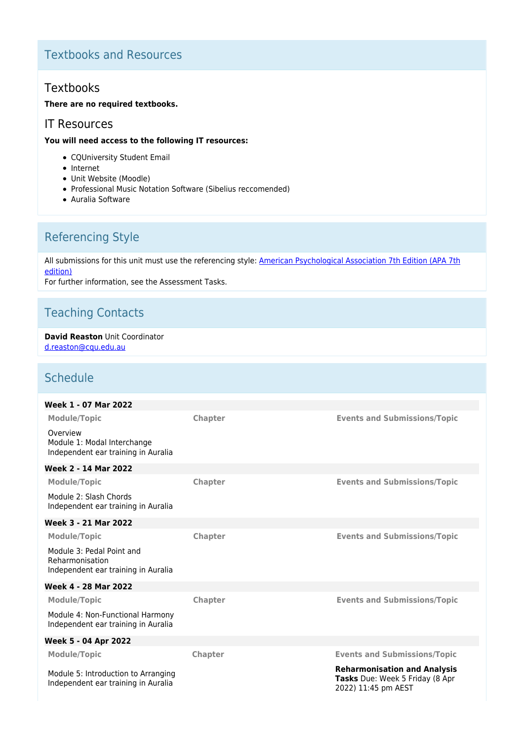# Textbooks and Resources

# **Textbooks**

## **There are no required textbooks.**

## IT Resources

## **You will need access to the following IT resources:**

- CQUniversity Student Email
- Internet
- Unit Website (Moodle)
- Professional Music Notation Software (Sibelius reccomended)
- Auralia Software

# Referencing Style

All submissions for this unit must use the referencing style: [American Psychological Association 7th Edition \(APA 7th](https://delivery-cqucontenthub.stylelabs.cloud/api/public/content/apa-referencing-style.pdf?v=51e1aea7) [edition\)](https://delivery-cqucontenthub.stylelabs.cloud/api/public/content/apa-referencing-style.pdf?v=51e1aea7)

For further information, see the Assessment Tasks.

# Teaching Contacts

#### **David Reaston** Unit Coordinator [d.reaston@cqu.edu.au](mailto:d.reaston@cqu.edu.au)

# **Schedule**

| Week 1 - 07 Mar 2022                                                                |                |                                                                                               |
|-------------------------------------------------------------------------------------|----------------|-----------------------------------------------------------------------------------------------|
| <b>Module/Topic</b>                                                                 | Chapter        | <b>Events and Submissions/Topic</b>                                                           |
| Overview<br>Module 1: Modal Interchange<br>Independent ear training in Auralia      |                |                                                                                               |
| Week 2 - 14 Mar 2022                                                                |                |                                                                                               |
| <b>Module/Topic</b>                                                                 | Chapter        | <b>Events and Submissions/Topic</b>                                                           |
| Module 2: Slash Chords<br>Independent ear training in Auralia                       |                |                                                                                               |
| <b>Week 3 - 21 Mar 2022</b>                                                         |                |                                                                                               |
| <b>Module/Topic</b>                                                                 | <b>Chapter</b> | <b>Events and Submissions/Topic</b>                                                           |
| Module 3: Pedal Point and<br>Reharmonisation<br>Independent ear training in Auralia |                |                                                                                               |
| Week 4 - 28 Mar 2022                                                                |                |                                                                                               |
| <b>Module/Topic</b>                                                                 | Chapter        | <b>Events and Submissions/Topic</b>                                                           |
| Module 4: Non-Functional Harmony<br>Independent ear training in Auralia             |                |                                                                                               |
| Week 5 - 04 Apr 2022                                                                |                |                                                                                               |
| <b>Module/Topic</b>                                                                 | <b>Chapter</b> | <b>Events and Submissions/Topic</b>                                                           |
| Module 5: Introduction to Arranging<br>Independent ear training in Auralia          |                | <b>Reharmonisation and Analysis</b><br>Tasks Due: Week 5 Friday (8 Apr<br>2022) 11:45 pm AEST |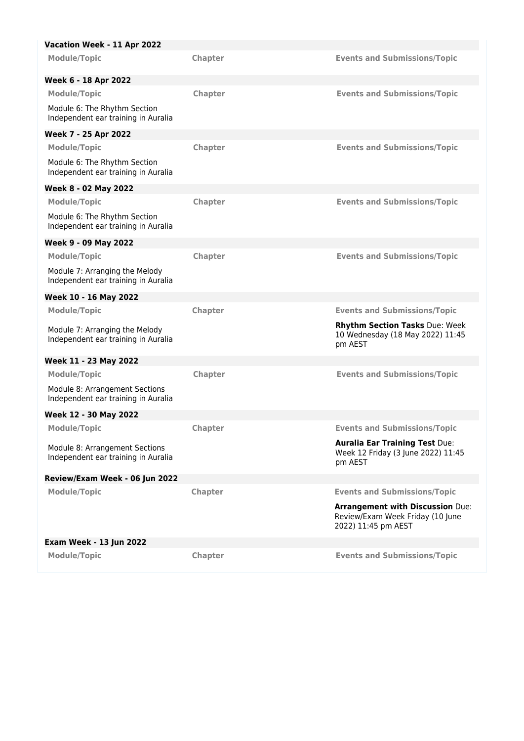| Vacation Week - 11 Apr 2022                                           |                |                                                                                        |
|-----------------------------------------------------------------------|----------------|----------------------------------------------------------------------------------------|
| <b>Module/Topic</b>                                                   | Chapter        | <b>Events and Submissions/Topic</b>                                                    |
| Week 6 - 18 Apr 2022                                                  |                |                                                                                        |
| <b>Module/Topic</b>                                                   | Chapter        | <b>Events and Submissions/Topic</b>                                                    |
| Module 6: The Rhythm Section<br>Independent ear training in Auralia   |                |                                                                                        |
| Week 7 - 25 Apr 2022                                                  |                |                                                                                        |
| <b>Module/Topic</b>                                                   | Chapter        | <b>Events and Submissions/Topic</b>                                                    |
| Module 6: The Rhythm Section<br>Independent ear training in Auralia   |                |                                                                                        |
| Week 8 - 02 May 2022                                                  |                |                                                                                        |
| <b>Module/Topic</b>                                                   | Chapter        | <b>Events and Submissions/Topic</b>                                                    |
| Module 6: The Rhythm Section<br>Independent ear training in Auralia   |                |                                                                                        |
| Week 9 - 09 May 2022                                                  |                |                                                                                        |
| <b>Module/Topic</b>                                                   | <b>Chapter</b> | <b>Events and Submissions/Topic</b>                                                    |
| Module 7: Arranging the Melody<br>Independent ear training in Auralia |                |                                                                                        |
| Week 10 - 16 May 2022                                                 |                |                                                                                        |
| <b>Module/Topic</b>                                                   | Chapter        | <b>Events and Submissions/Topic</b>                                                    |
| Module 7: Arranging the Melody<br>Independent ear training in Auralia |                | <b>Rhythm Section Tasks Due: Week</b><br>10 Wednesday (18 May 2022) 11:45<br>pm AEST   |
| Week 11 - 23 May 2022                                                 |                |                                                                                        |
| <b>Module/Topic</b>                                                   | Chapter        | <b>Events and Submissions/Topic</b>                                                    |
| Module 8: Arrangement Sections<br>Independent ear training in Auralia |                |                                                                                        |
| Week 12 - 30 May 2022                                                 |                |                                                                                        |
| <b>Module/Topic</b>                                                   | Chapter        | <b>Events and Submissions/Topic</b>                                                    |
| Module 8: Arrangement Sections<br>Independent ear training in Auralia |                | <b>Auralia Ear Training Test Due:</b><br>Week 12 Friday (3 June 2022) 11:45<br>pm AEST |
| Review/Exam Week - 06 Jun 2022                                        |                |                                                                                        |
| <b>Module/Topic</b>                                                   | Chapter        | <b>Events and Submissions/Topic</b>                                                    |
|                                                                       |                | <b>Arrangement with Discussion Due:</b><br>Review/Exam Week Friday (10 June            |
|                                                                       |                | 2022) 11:45 pm AEST                                                                    |
| <b>Exam Week - 13 Jun 2022</b>                                        |                |                                                                                        |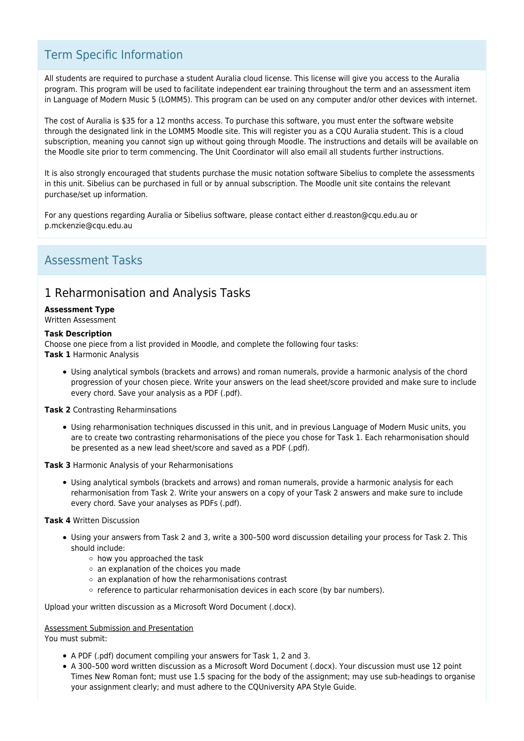# Term Specific Information

All students are required to purchase a student Auralia cloud license. This license will give you access to the Auralia program. This program will be used to facilitate independent ear training throughout the term and an assessment item in Language of Modern Music 5 (LOMM5). This program can be used on any computer and/or other devices with internet.

The cost of Auralia is \$35 for a 12 months access. To purchase this software, you must enter the software website through the designated link in the LOMM5 Moodle site. This will register you as a CQU Auralia student. This is a cloud subscription, meaning you cannot sign up without going through Moodle. The instructions and details will be available on the Moodle site prior to term commencing. The Unit Coordinator will also email all students further instructions.

It is also strongly encouraged that students purchase the music notation software Sibelius to complete the assessments in this unit. Sibelius can be purchased in full or by annual subscription. The Moodle unit site contains the relevant purchase/set up information.

For any questions regarding Auralia or Sibelius software, please contact either d.reaston@cqu.edu.au or p.mckenzie@cqu.edu.au

# Assessment Tasks

# 1 Reharmonisation and Analysis Tasks

## **Assessment Type**

#### Written Assessment

#### **Task Description**

Choose one piece from a list provided in Moodle, and complete the following four tasks: **Task 1** Harmonic Analysis

Using analytical symbols (brackets and arrows) and roman numerals, provide a harmonic analysis of the chord progression of your chosen piece. Write your answers on the lead sheet/score provided and make sure to include every chord. Save your analysis as a PDF (.pdf).

**Task 2** Contrasting Reharminsations

Using reharmonisation techniques discussed in this unit, and in previous Language of Modern Music units, you are to create two contrasting reharmonisations of the piece you chose for Task 1. Each reharmonisation should be presented as a new lead sheet/score and saved as a PDF (.pdf).

**Task 3** Harmonic Analysis of your Reharmonisations

Using analytical symbols (brackets and arrows) and roman numerals, provide a harmonic analysis for each reharmonisation from Task 2. Write your answers on a copy of your Task 2 answers and make sure to include every chord. Save your analyses as PDFs (.pdf).

## **Task 4** Written Discussion

- Using your answers from Task 2 and 3, write a 300–500 word discussion detailing your process for Task 2. This should include:
	- how you approached the task
	- $\circ$  an explanation of the choices you made
	- $\circ$  an explanation of how the reharmonisations contrast
	- o reference to particular reharmonisation devices in each score (by bar numbers).

Upload your written discussion as a Microsoft Word Document (.docx).

#### Assessment Submission and Presentation

You must submit:

- A PDF (.pdf) document compiling your answers for Task 1, 2 and 3.
- A 300–500 word written discussion as a Microsoft Word Document (.docx). Your discussion must use 12 point Times New Roman font; must use 1.5 spacing for the body of the assignment; may use sub-headings to organise your assignment clearly; and must adhere to the CQUniversity APA Style Guide.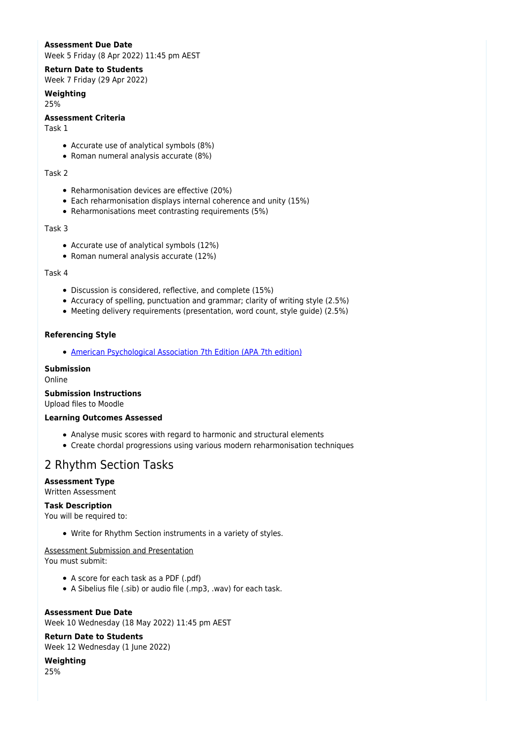## **Assessment Due Date**

Week 5 Friday (8 Apr 2022) 11:45 pm AEST

#### **Return Date to Students**

Week 7 Friday (29 Apr 2022)

## **Weighting**

25%

## **Assessment Criteria**

Task 1

- Accurate use of analytical symbols (8%)
- Roman numeral analysis accurate (8%)

#### Task 2

- Reharmonisation devices are effective (20%)
- Each reharmonisation displays internal coherence and unity (15%)
- Reharmonisations meet contrasting requirements (5%)

#### Task 3

- Accurate use of analytical symbols (12%)
- Roman numeral analysis accurate (12%)

#### Task 4

- Discussion is considered, reflective, and complete (15%)
- Accuracy of spelling, punctuation and grammar; clarity of writing style (2.5%)
- Meeting delivery requirements (presentation, word count, style guide) (2.5%)

#### **Referencing Style**

[American Psychological Association 7th Edition \(APA 7th edition\)](https://delivery-cqucontenthub.stylelabs.cloud/api/public/content/apa-referencing-style.pdf?v=51e1aea7)

#### **Submission**

Online

#### **Submission Instructions**

Upload files to Moodle

#### **Learning Outcomes Assessed**

- Analyse music scores with regard to harmonic and structural elements
- Create chordal progressions using various modern reharmonisation techniques

## 2 Rhythm Section Tasks

## **Assessment Type**

## Written Assessment

#### **Task Description**

You will be required to:

Write for Rhythm Section instruments in a variety of styles.

# Assessment Submission and Presentation

You must submit:

- A score for each task as a PDF (.pdf)
- A Sibelius file (.sib) or audio file (.mp3, .wav) for each task.

## **Assessment Due Date**

Week 10 Wednesday (18 May 2022) 11:45 pm AEST

## **Return Date to Students**

Week 12 Wednesday (1 June 2022)

## **Weighting**

25%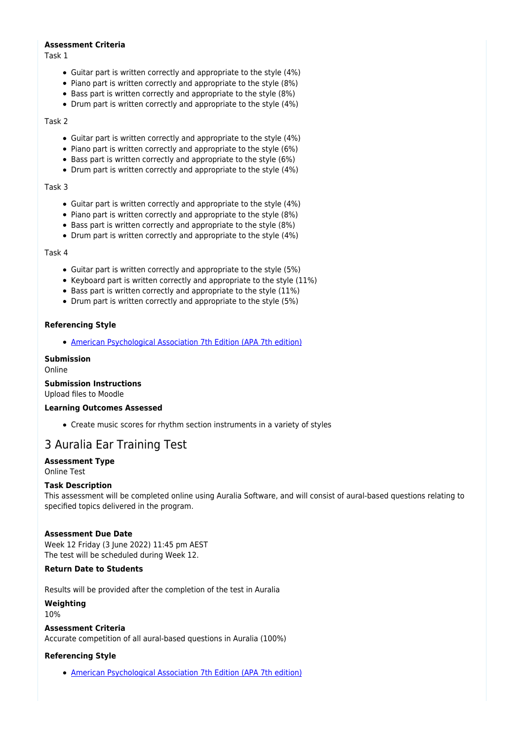#### **Assessment Criteria**

Task 1

- Guitar part is written correctly and appropriate to the style (4%)
- Piano part is written correctly and appropriate to the style (8%)
- Bass part is written correctly and appropriate to the style (8%)
- Drum part is written correctly and appropriate to the style (4%)

#### Task 2

- Guitar part is written correctly and appropriate to the style (4%)
- Piano part is written correctly and appropriate to the style (6%)
- Bass part is written correctly and appropriate to the style (6%)
- Drum part is written correctly and appropriate to the style (4%)

#### Task 3

- Guitar part is written correctly and appropriate to the style (4%)
- Piano part is written correctly and appropriate to the style (8%)
- Bass part is written correctly and appropriate to the style (8%)
- Drum part is written correctly and appropriate to the style (4%)

#### Task 4

- Guitar part is written correctly and appropriate to the style (5%)
- Keyboard part is written correctly and appropriate to the style (11%)
- Bass part is written correctly and appropriate to the style (11%)
- Drum part is written correctly and appropriate to the style (5%)

#### **Referencing Style**

• [American Psychological Association 7th Edition \(APA 7th edition\)](https://delivery-cqucontenthub.stylelabs.cloud/api/public/content/apa-referencing-style.pdf?v=51e1aea7)

#### **Submission**

Online

## **Submission Instructions**

Upload files to Moodle

#### **Learning Outcomes Assessed**

Create music scores for rhythm section instruments in a variety of styles

# 3 Auralia Ear Training Test

## **Assessment Type**

Online Test

## **Task Description**

This assessment will be completed online using Auralia Software, and will consist of aural-based questions relating to specified topics delivered in the program.

## **Assessment Due Date**

Week 12 Friday (3 June 2022) 11:45 pm AEST The test will be scheduled during Week 12.

## **Return Date to Students**

Results will be provided after the completion of the test in Auralia

**Weighting** 10%

## **Assessment Criteria**

Accurate competition of all aural-based questions in Auralia (100%)

## **Referencing Style**

[American Psychological Association 7th Edition \(APA 7th edition\)](https://delivery-cqucontenthub.stylelabs.cloud/api/public/content/apa-referencing-style.pdf?v=51e1aea7)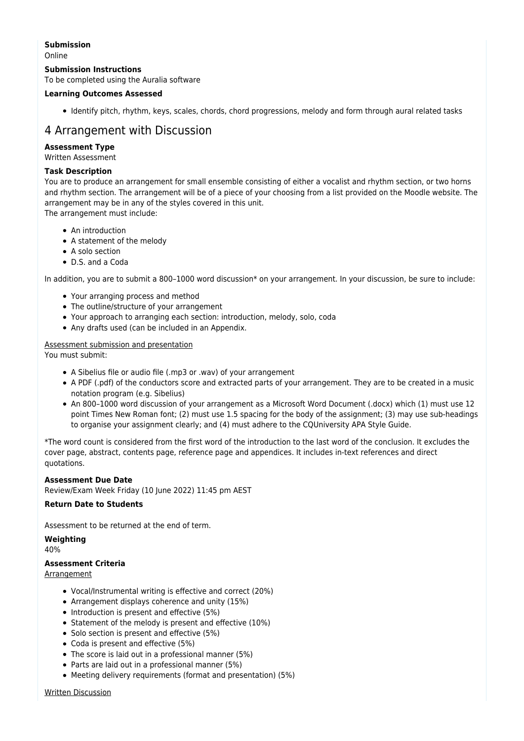#### **Submission**

Online

#### **Submission Instructions**

To be completed using the Auralia software

#### **Learning Outcomes Assessed**

Identify pitch, rhythm, keys, scales, chords, chord progressions, melody and form through aural related tasks

# 4 Arrangement with Discussion

#### **Assessment Type**

Written Assessment

#### **Task Description**

You are to produce an arrangement for small ensemble consisting of either a vocalist and rhythm section, or two horns and rhythm section. The arrangement will be of a piece of your choosing from a list provided on the Moodle website. The arrangement may be in any of the styles covered in this unit. The arrangement must include:

- An introduction
- A statement of the melody
- A solo section
- D.S. and a Coda

In addition, you are to submit a 800-1000 word discussion\* on your arrangement. In your discussion, be sure to include:

- Your arranging process and method
- The outline/structure of your arrangement
- Your approach to arranging each section: introduction, melody, solo, coda
- Any drafts used (can be included in an Appendix.

#### Assessment submission and presentation

You must submit:

- A Sibelius file or audio file (.mp3 or .wav) of your arrangement
- A PDF (.pdf) of the conductors score and extracted parts of your arrangement. They are to be created in a music notation program (e.g. Sibelius)
- An 800–1000 word discussion of your arrangement as a Microsoft Word Document (.docx) which (1) must use 12 point Times New Roman font; (2) must use 1.5 spacing for the body of the assignment; (3) may use sub-headings to organise your assignment clearly; and (4) must adhere to the CQUniversity APA Style Guide.

\*The word count is considered from the first word of the introduction to the last word of the conclusion. It excludes the cover page, abstract, contents page, reference page and appendices. It includes in-text references and direct quotations.

#### **Assessment Due Date**

Review/Exam Week Friday (10 June 2022) 11:45 pm AEST

#### **Return Date to Students**

Assessment to be returned at the end of term.

**Weighting** 40%

## **Assessment Criteria**

Arrangement

- Vocal/Instrumental writing is effective and correct (20%)
- Arrangement displays coherence and unity (15%)
- Introduction is present and effective (5%)
- Statement of the melody is present and effective (10%)
- Solo section is present and effective (5%)
- Coda is present and effective (5%)
- The score is laid out in a professional manner (5%)
- Parts are laid out in a professional manner (5%)
- Meeting delivery requirements (format and presentation) (5%)

Written Discussion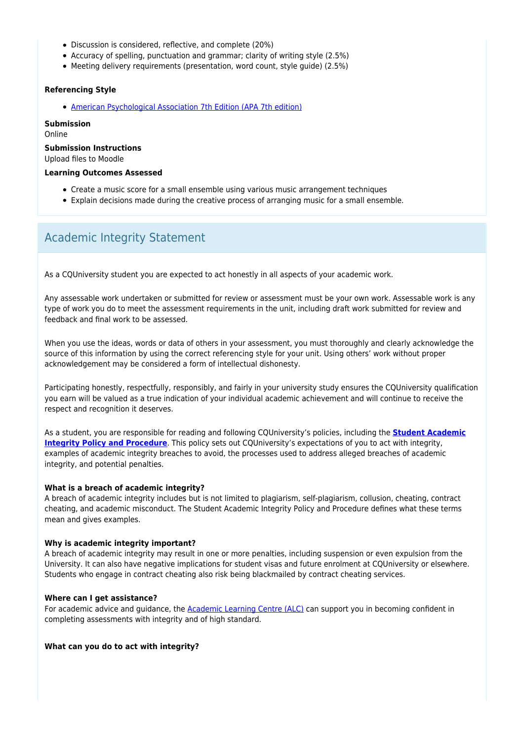- Discussion is considered, reflective, and complete (20%)
- Accuracy of spelling, punctuation and grammar; clarity of writing style (2.5%)
- Meeting delivery requirements (presentation, word count, style guide) (2.5%)

#### **Referencing Style**

[American Psychological Association 7th Edition \(APA 7th edition\)](https://delivery-cqucontenthub.stylelabs.cloud/api/public/content/apa-referencing-style.pdf?v=51e1aea7)

**Submission** Online

**Submission Instructions**

Upload files to Moodle

#### **Learning Outcomes Assessed**

- Create a music score for a small ensemble using various music arrangement techniques
- Explain decisions made during the creative process of arranging music for a small ensemble.

## Academic Integrity Statement

As a CQUniversity student you are expected to act honestly in all aspects of your academic work.

Any assessable work undertaken or submitted for review or assessment must be your own work. Assessable work is any type of work you do to meet the assessment requirements in the unit, including draft work submitted for review and feedback and final work to be assessed.

When you use the ideas, words or data of others in your assessment, you must thoroughly and clearly acknowledge the source of this information by using the correct referencing style for your unit. Using others' work without proper acknowledgement may be considered a form of intellectual dishonesty.

Participating honestly, respectfully, responsibly, and fairly in your university study ensures the CQUniversity qualification you earn will be valued as a true indication of your individual academic achievement and will continue to receive the respect and recognition it deserves.

As a student, you are responsible for reading and following CQUniversity's policies, including the **[Student Academic](https://www.cqu.edu.au/policy/sharepoint-document-download?file_uri={BE8380F3-F86D-4C55-AC0D-84A81EAFD6A2}/Student%20Academic%20Integrity%20Policy%20and%20Procedure%20(formerly%20known%20as%20the%20Academic%20Misconduct%20Procedure).pdf) [Integrity Policy and Procedure](https://www.cqu.edu.au/policy/sharepoint-document-download?file_uri={BE8380F3-F86D-4C55-AC0D-84A81EAFD6A2}/Student%20Academic%20Integrity%20Policy%20and%20Procedure%20(formerly%20known%20as%20the%20Academic%20Misconduct%20Procedure).pdf)**. This policy sets out CQUniversity's expectations of you to act with integrity, examples of academic integrity breaches to avoid, the processes used to address alleged breaches of academic integrity, and potential penalties.

#### **What is a breach of academic integrity?**

A breach of academic integrity includes but is not limited to plagiarism, self-plagiarism, collusion, cheating, contract cheating, and academic misconduct. The Student Academic Integrity Policy and Procedure defines what these terms mean and gives examples.

#### **Why is academic integrity important?**

A breach of academic integrity may result in one or more penalties, including suspension or even expulsion from the University. It can also have negative implications for student visas and future enrolment at CQUniversity or elsewhere. Students who engage in contract cheating also risk being blackmailed by contract cheating services.

#### **Where can I get assistance?**

For academic advice and guidance, the [Academic Learning Centre \(ALC\)](https://www.cqu.edu.au/student-life/academic-learning-centre) can support you in becoming confident in completing assessments with integrity and of high standard.

#### **What can you do to act with integrity?**